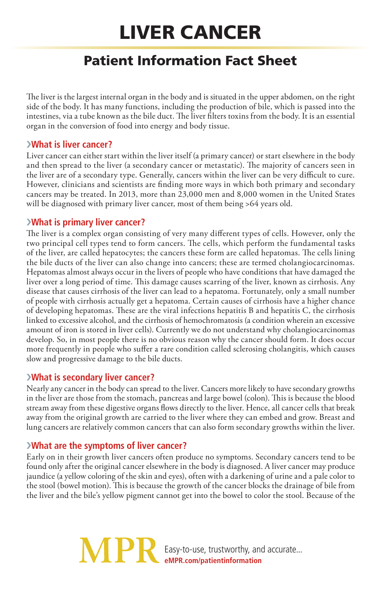# Liver Cancer

# Patient Information Fact Sheet

The liver is the largest internal organ in the body and is situated in the upper abdomen, on the right side of the body. It has many functions, including the production of bile, which is passed into the intestines, via a tube known as the bile duct. The liver filters toxins from the body. It is an essential organ in the conversion of food into energy and body tissue.

#### ›**What is liver cancer?**

Liver cancer can either start within the liver itself (a primary cancer) or start elsewhere in the body and then spread to the liver (a secondary cancer or metastatic). The majority of cancers seen in the liver are of a secondary type. Generally, cancers within the liver can be very difficult to cure. However, clinicians and scientists are finding more ways in which both primary and secondary cancers may be treated. In 2013, more than 23,000 men and 8,000 women in the United States will be diagnosed with primary liver cancer, most of them being >64 years old.

# ›**What is primary liver cancer?**

The liver is a complex organ consisting of very many different types of cells. However, only the two principal cell types tend to form cancers. The cells, which perform the fundamental tasks of the liver, are called hepatocytes; the cancers these form are called hepatomas. The cells lining the bile ducts of the liver can also change into cancers; these are termed cholangiocarcinomas. Hepatomas almost always occur in the livers of people who have conditions that have damaged the liver over a long period of time. This damage causes scarring of the liver, known as cirrhosis. Any disease that causes cirrhosis of the liver can lead to a hepatoma. Fortunately, only a small number of people with cirrhosis actually get a hepatoma. Certain causes of cirrhosis have a higher chance of developing hepatomas. These are the viral infections hepatitis B and hepatitis C, the cirrhosis linked to excessive alcohol, and the cirrhosis of hemochromatosis (a condition wherein an excessive amount of iron is stored in liver cells). Currently we do not understand why cholangiocarcinomas develop. So, in most people there is no obvious reason why the cancer should form. It does occur more frequently in people who suffer a rare condition called sclerosing cholangitis, which causes slow and progressive damage to the bile ducts.

# ›**What is secondary liver cancer?**

Nearly any cancer in the body can spread to the liver. Cancers more likely to have secondary growths in the liver are those from the stomach, pancreas and large bowel (colon). This is because the blood stream away from these digestive organs flows directly to the liver. Hence, all cancer cells that break away from the original growth are carried to the liver where they can embed and grow. Breast and lung cancers are relatively common cancers that can also form secondary growths within the liver.

# ›**What are the symptoms of liver cancer?**

Early on in their growth liver cancers often produce no symptoms. Secondary cancers tend to be found only after the original cancer elsewhere in the body is diagnosed. A liver cancer may produce jaundice (a yellow coloring of the skin and eyes), often with a darkening of urine and a pale color to the stool (bowel motion). This is because the growth of the cancer blocks the drainage of bile from the liver and the bile's yellow pigment cannot get into the bowel to color the stool. Because of the

> **MPF** Easy-to-use, trustworthy, and accurate... **eMPR.com/patientinformation**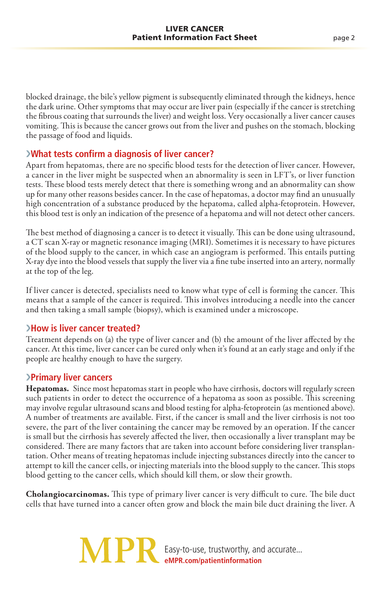blocked drainage, the bile's yellow pigment is subsequently eliminated through the kidneys, hence the dark urine. Other symptoms that may occur are liver pain (especially if the cancer is stretching the fibrous coating that surrounds the liver) and weight loss. Very occasionally a liver cancer causes vomiting. This is because the cancer grows out from the liver and pushes on the stomach, blocking the passage of food and liquids.

#### ›**What tests confirm a diagnosis of liver cancer?**

Apart from hepatomas, there are no specific blood tests for the detection of liver cancer. However, a cancer in the liver might be suspected when an abnormality is seen in LFT's, or liver function tests. These blood tests merely detect that there is something wrong and an abnormality can show up for many other reasons besides cancer. In the case of hepatomas, a doctor may find an unusually high concentration of a substance produced by the hepatoma, called alpha-fetoprotein. However, this blood test is only an indication of the presence of a hepatoma and will not detect other cancers.

The best method of diagnosing a cancer is to detect it visually. This can be done using ultrasound, a CT scan X-ray or magnetic resonance imaging (MRI). Sometimes it is necessary to have pictures of the blood supply to the cancer, in which case an angiogram is performed. This entails putting X-ray dye into the blood vessels that supply the liver via a fine tube inserted into an artery, normally at the top of the leg.

If liver cancer is detected, specialists need to know what type of cell is forming the cancer. This means that a sample of the cancer is required. This involves introducing a needle into the cancer and then taking a small sample (biopsy), which is examined under a microscope.

#### ›**How is liver cancer treated?**

Treatment depends on (a) the type of liver cancer and (b) the amount of the liver affected by the cancer. At this time, liver cancer can be cured only when it's found at an early stage and only if the people are healthy enough to have the surgery.

#### ›**Primary liver cancers**

**Hepatomas.** Since most hepatomas start in people who have cirrhosis, doctors will regularly screen such patients in order to detect the occurrence of a hepatoma as soon as possible. This screening may involve regular ultrasound scans and blood testing for alpha-fetoprotein (as mentioned above). A number of treatments are available. First, if the cancer is small and the liver cirrhosis is not too severe, the part of the liver containing the cancer may be removed by an operation. If the cancer is small but the cirrhosis has severely affected the liver, then occasionally a liver transplant may be considered. There are many factors that are taken into account before considering liver transplantation. Other means of treating hepatomas include injecting substances directly into the cancer to attempt to kill the cancer cells, or injecting materials into the blood supply to the cancer. This stops blood getting to the cancer cells, which should kill them, or slow their growth.

**Cholangiocarcinomas.** This type of primary liver cancer is very difficult to cure. The bile duct cells that have turned into a cancer often grow and block the main bile duct draining the liver. A

> Easy-to-use, trustworthy, and accurate... **eMPR.com/patientinformation**